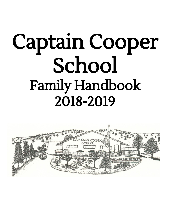# Captain Cooper School Family Handbook 2018-2019

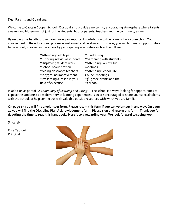Dear Parents and Guardians,

Welcome to Captain Cooper School! Our goal is to provide a nurturing, encouraging atmosphere where talents awaken and blossom – not just for the students, but for parents, teachers and the community as well.

By reading this handbook, you are making an important contribution to the home-school connection. Your involvement in the educational process is welcomed and celebrated. This year, you will find many opportunities to be actively involved in the school by participating in activities such as the following:

| *Attending field trips        | *Fundraising                          |
|-------------------------------|---------------------------------------|
| *Tutoring individual students | *Gardening with students              |
| *Displaying student work      | *Attending Parent Club                |
| *School beautification        | meetings                              |
| *Aiding classroom teachers    | *Attending School Site                |
| *Playground improvement       | Council meetings                      |
| *Presenting a lesson in your  | *5 <sup>th</sup> grade events and the |
| field of expertise            | Yearbook                              |

In addition as part of "*A Community of Learning and Caring"* – The school is always looking for opportunities to expose the students to a wide variety of learning experiences. You are encouraged to share your special talents with the school, or help connect us with valuable outside resources with which you are familiar.

**On page 19 you will find a volunteer form. Please return this form if you can volunteer in any way. On page 20 you will find the Discipline Plan Acknowledgment form. Please sign and return this form. Thank you for devoting the time to read this handbook. Here is to a rewarding year. We look forward to seeing you.**

Sincerely,

Elisa Tacconi Principal

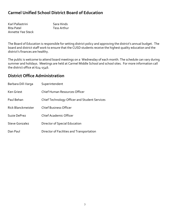# **Carmel Unified School District Board of Education**

| Karl Pallastrini  | Sara Hinds  |
|-------------------|-------------|
| Rita Patel        | Tess Arthur |
| Annette Yee Steck |             |

The Board of Education is responsible for setting district policy and approving the district's annual budget. The board and district staff work to ensure that the CUSD students receive the highest quality education and the district's finances are healthy.

The public is welcome to attend board meetings on a Wednesday of each month. The schedule can vary during summer and holidays. Meetings are held at Carmel Middle School and school sites. For more information call the district office at 624-1546.

# **District Office Administration**

| Barbara Dill-Varga    | Superintendent                                |
|-----------------------|-----------------------------------------------|
| Ken Griest            | Chief Human Resources Officer                 |
| Paul Behan            | Chief Technology Officer and Student Services |
| Rick Blanckmeister    | <b>Chief Business Officer</b>                 |
| Suzie DePrez          | <b>Chief Academic Officer</b>                 |
| <b>Steve Gonzalez</b> | Director of Special Education                 |
| Dan Paul              | Director of Facilities and Transportation     |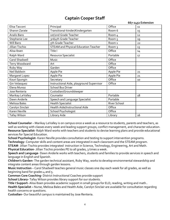# **Captain Cooper Staff**

|                  |                                             |                   | 667-2452 Extension |
|------------------|---------------------------------------------|-------------------|--------------------|
| Elisa Tacconi    | Principal                                   | Office            | 11                 |
| Sharon Zarate    | Transitional-kinder/Kindergarten            | Room 6            | 15                 |
| Analis Bans      | 1st/2nd Grade Teacher                       | Room 4            | 12                 |
| Stephanie Lee    | 3rd/4th Grade Teacher                       | Room <sub>5</sub> | 19                 |
| Will Bans        | 5th Grade Teacher                           | Room <sub>1</sub> | 22                 |
| Jillian Tischio  | <b>STEAM and Physical Education Teacher</b> | Room <sub>3</sub> | 13                 |
| Alisa Ibsen      | Title I                                     | Office            | 14                 |
| Ralph Ward       | Resource Specialist                         | Portable          | 17                 |
| Carol Shadwell   | Music                                       | Office            |                    |
| Terry Woodward   | Art                                         | Office            |                    |
| Ruby Way         | Garden                                      | Office            |                    |
| Neil Baldwin     | Apple Pie                                   | Apple Pie         | 21                 |
| Margaret Lopez   | Apple Pie                                   | Apple Pie         | 21                 |
| Kouri Spungin    | Secretary                                   | Office            | 10                 |
| Gin Velasquez    | Instructional Aide, playground Supervisor   | Office            |                    |
| Elena Munoz      | <b>School Bus Driver</b>                    |                   |                    |
| Jose Renteria    | Custodian/Groundskeeper                     |                   |                    |
| Marikay LeValley | Counselor                                   | Portable          | 18                 |
| Dawn Anderle     | Speech and Language Specialist              | Portable          |                    |
| Melissa Bales    | <b>Health Specialist</b>                    | River School      |                    |
| Carolyn Sinclair | Health Aide/Instructional Aide              | Office            |                    |
| Karen Neville    | School Psychologist                         | Office            |                    |
| Tafay Wilson     | Library Aide                                | Library           | 16                 |

**School Counselor** – Marikay LeValley is on campus once a week as a resource to students, parents and teachers, as well as working with classes every week and leading support groups, conflict management, and character education. **Resource Specialist-** Ralph Ward works with teachers and students to devise learning plans and provide educational services for Special Education.

**School Psychologist-** Karen Neville provides consultation and testing to support intervention programs. **Technology-** Computer skills and content areas are integrated in each classroom and the STEAM program. **STEAM**- Jillian Tischio provides integrated instruction in Science, Technology, Engineering, Art and Math.

**Physical Education**- Jillian Tischio provides PE to all grades, 3 times a week.

**Speech and Language**- Dawn Anderle works with teachers, students and families to provide services in speech and language in English and Spanish.

**Children's Garden-** The garden technical assistant, Ruby Way, works to develop environmental stewardship and integrate content areas through garden lessons.

**Music Instruction** – Carol Shadwell teaches general music classes one day each week for all grades, as well as beginning band for grades 4 and 5.

**Common Core Coaching-** District Instructional Coaches provide support

**School Library-** Tafay Wilson provides library support for our students.

**Title I Support-** Alisa Ibsen provides academic support in small groups for ELD, reading, writing and math..

**Health Specialist –** Nurse, Melissa Bales and Health Aide, Carolyn Sinclair are available for consultation regarding health concerns or questions.

**Custodian-** Our beautiful campus is maintained by Jose Renteria.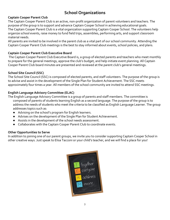# **School Organizations**

#### **Captain Cooper Parent Club**

The Captain Cooper Parent Club is an active, non-profit organization of parent volunteers and teachers. The purpose of the group is to support and advance Captain Cooper School in achieving educational goals. The Captain Cooper Parent Club is a vital organization supporting Captain Cooper School. The volunteers help organize school events, raise money to fund field trips, assemblies, performing arts, and support classroom material needs.

All parents are invited to be involved in the parent club as a vital part of our school community. Attending the Captain Cooper Parent Club meetings is the best to stay informed about events, school policies, and plans.

#### **Captain Cooper Parent Club Executive Board**

 The Captain Cooper Parent Club Executive Board is, a group of elected parents and teachers who meet monthly to prepare for the general meetings, approve the club's budget, and help initiate event planning. All Captain Cooper Parent Club board minutes are presented and reviewed at the parent club's general meetings.

#### **School Site Council (SSC)**

The School Site Council (SSC) is composed of elected parents, and staff volunteers. The purpose of the group is to advise and assist in the development of the Single Plan for Student Achievement. The SSC meets approximately four times a year. All members of the school community are invited to attend SSC meetings.

#### **English Language Advisory Committee (ELAC)**

The English Language Advisory Committee is a group of parents and staff members. The committee is composed of parents of students learning English as a second language. The purpose of the group is to address the needs of students who meet the criteria to be classified as English Language Learner. The group addresses topics such as:

- Advising on the school's program for English learners.
- Advises on the development of the Single Plan for Student Achievement.
- Assists in the development of the school needs assessment.
- Collaborates with the Captain Cooper Parent Club to coordinate events.

#### **Other Opportunities to Serve**

In addition to joining one of our parent groups, we invite you to consider supporting Captain Cooper School in other creative ways. Just speak to Elisa Tacconi or your child's teacher, and we will find a place for you!

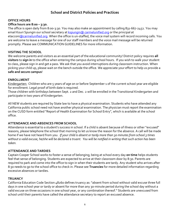## **School and District Policies and Practices**

#### **OFFICE HOURS**

#### **Office hours are 8:00 – 3:30.**

The office is open daily from 8:00-3:30. You may also make an appointment by calling 831-667-2452. You may email Kouri Spungin our school secretary at **kspungin@** carmelunified.org or the principal at etaccon[i@carmelunified.org](mailto:jkolofer@carmelunified.org). When the office is un-staffed, the voice mail system will record incoming calls. You are welcome to leave a message for one of our staff members and the voice mail message will be returned promptly. Please see COMMUNICATION GUIDELINES for more information.

#### **VISITING THE SCHOOL**

We welcome parents and visitors as an essential part of the educational community! District policy requires **all visitors** to **sign in** to the office when entering the campus during school hours. If you wish to walk your student to class, please sign in and get a pass. We ask that you avoid interruptions during classroom instruction. When picking your child up, please wait on the bench outside the office. We appreciate your effort to help us provide a **safe and secure campus**!

#### **ENROLLMENT**

Kindergarten: Children who are 5 years of age on or before September 1 of the current school year are eligible for enrollment. Legal proof of birth date is required.

Those children with birthdays between Sept. 2 and Dec. 2 will be enrolled in the Transitional Kindergarten and participate in two years of Kindergarten.

All NEW students are required by State law to have a physical examination. Students who have attended any California public school need not have another physical examination. The physician must report the examination on the CUSD form entitled "Report of Health Examination for School Entry", which is available at the school office.

#### **ATTENDANCE AND ABSENCES FROM SCHOOL**

Attendance is essential to a student's success in school. If a child is absent because of illness or other "excused" reasons, please telephone the school that morning to let us know the reason for the absence. A call will be made home if we have not heard from you. *If your child is absent or tardy more than 30 minutes from school 3 times without a valid excuse, he/she will be declared a truant. You will be notified in writing that such action has been taken.*

#### **ATTENDANCE AND TARDIES**

Captain Cooper School works to foster a sense of belonging; being at school every day **on time** helps students feel that sense of belonging. Students are expected to arrive at their classroom door by 8:30. Parents are required to park and come into the office to sign in when their students are tardy. Any student who arrives after 8:30 needs to go to the school office to check in. Please see **Truancies** for more detailed information regarding excessive absences or tardies.

#### **TRUANCY**

California Education Code Section 48260 defines truancy as: "absent from school without valid excuse three full days in one school year or tardy or absent for more than any 30-minute period during the school day without a valid excuse on three occasions in one school year, or any combination thereof." Students are unexcused from school until their parents have called the attendance secretary to report an excused absence.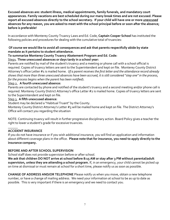**Excused absences are: student illness, medical appointments, family funerals, and mandatory court appearances. Family vacations are best scheduled during our many break times and are not excused. Please report all excused absences directly to the school secretary. If your child will have one or more** *unexcused* **absences for any reason, you are asked to meet with the school principal before or soon after the absence; before is preferable!**

In accordance with Monterey County Truancy Laws and Ed. Code, **Captain Cooper School** has instituted the following policies and procedures for dealing with the cumulative total of truancies:

#### **Of course we would like to avoid all consequences and ask that parents respectfully abide by state mandate as it pertains to student attendance.**

#### **To summarize Monterey County Truancy Abatement Program and Ed. Code:** Step1. **Three unexcused absences or days tardy in a school year:**

Parents are notified by mail of the student's truancy and a meeting or phone call with a school official is required. Copies of truancy letters are sent to the Superintendent and kept on file. Monterey County District Attorney's office Letter #1 is mailed home. (*If a parent receives the first letter and the attendance record already shows that more than three unexcused absences have been accrued, it is still considered "step one" in the process, for the process begins when the parent has been notified*).

#### Step 2. **A fourth unexcused absence:**

Parents are contacted by phone and notified of the student's truancy and a second meeting and/or phone call is required. Monterey County District Attorney's office Letter #2 is mailed home. Copies of truancy letters are sent to the Superintendent and kept on file.

#### Step 3. **A fifth unexcused absence:**

Student may be declared a "Habitual Truant" by the County.

Monterey County District Attorney's Letter #3 will be mailed home and kept on file. The District Attorney's Office will contact you regarding the situation

NOTE: Continuing truancy will result in further progressive disciplinary action. Board Policy gives a teacher the right to lower a student's grade for excessive truancies.

#### \_\_\_\_\_\_ **ACCIDENT INSURANCE**

If you do not have insurance or if you wish additional insurance, you will find an application and information about different coverage plans in the office. **Please note that for insurance, you need to apply directly to the insurance company.**

#### **BEFORE AND AFTER SCHOOL SUPERVISION**

School staff does not provide supervision before or after school.

**We ask that children DO NOT arrive at school before 8:15 AM or stay after 3 PM without parental/adult supervision, unless they are attending a school program.** If, in an emergency, your child cannot be picked up on time at dismissal or must remain at school for a short time, please notify us as soon as possible.

**CHANGE OF ADDRESS AND/OR TELEPHONE** Please notify us when you move, obtain a new telephone number, or have a change of mailing address. We need your information at school to be as up to date as possible. This is very important if there is an emergency and we need to contact you.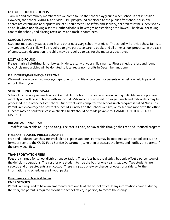#### **USE OF SCHOOL GROUNDS**

 Families and community members are welcome to use the school playground when school is not in session. However, the school GARDEN and APPLE PIE playground are closed to the public after school hours. We appreciate careful and appropriate use of all equipment. For safety and security, children must be supervised by an adult who is not playing a sport. Neither alcoholic beverages nor smoking are allowed. Thank you for taking care of the school, and placing recyclables and trash in containers.

#### **SCHOOL SUPPLIES**

Students may supply paper, pencils and other necessary school materials. The school will provide these items to any student. Your child will be required to give particular care to books and all other school property. In the case of unnecessary destruction, the child may be required to pay for the materials destroyed.

#### **LOST AND FOUND**

Please **mark all clothing**, lunch boxes, binders, etc., with your child's name. Please check the lost and found box. Unclaimed articles will be donated to local reuse non-profits in December and June.

#### **FIELD TRIPS/PARENT CHAPERONE**

We must have a parent volunteer/chaperone form on file once a year for parents who help on field trips or at school. Thank you.

#### **SCHOOL LUNCH PROGRAM**

School lunches are prepared daily at Carmel High School. The cost is \$4.00 including milk. Menus are prepared monthly and will be sent home with your child. Milk may be purchased for \$0.50. Lunch and milk orders may be processed in the office before school. Our district wide computerized school lunch program is called NutriKids. Parents are encouraged to pay for their child's lunches on the school website, or by sending money to the office. Lunches may be paid for in cash or check. Checks should be made payable to: CARMEL UNIFIED SCHOOL DISTRICT.

#### **BREAKFAST PROGRAM**

Breakfast is available at 8:15 and 10:15. The cost is \$2.00, or is available through the Free and Reduced program.

#### **FREE OR REDUCED PRICED LUNCHES**

Free and Reduced Lunches are available to eligible students. Forms may be obtained at the school office. The forms are sent to the CUSD Food Service Department, who then processes the forms and notifies the parents if the family qualifies.

#### **TRANSPORTATION FEES**

Fees are charged for school district transportation. These fees help the district, but only offset a percentage of the deficit in operations. The cost for one student to ride the bus for one year is \$200.00. Two students are \$400.00 and three students are \$500.00. There is a \$1.00 one-way charge for occasional riders. Further information and schedules are in your packet.

#### **Emergency and Medical Issues**

#### **EMERGENCIES**

Parents are required to have an emergency card on file at the school office. If any information changes during the year, the parent is required to visit the school office, in person, to record the change.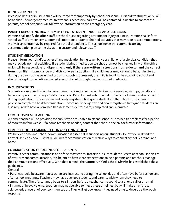#### **ILLNESS OR INJURY**

In case of illness or injury, a child will be cared for temporarily by school personnel. First aid treatment, only, will be applied. If emergency medical treatment is necessary, parents will be contacted. If unable to contact the parents, school personnel will follow the information on the emergency card.

#### **PARENT REPORTING REQUIREMENTS FOR STUDENT INJURIES AND ILLNESSES**

Parents shall notify the office staff or school nurse regarding any student injury or illness. Parents shall inform school staff of any concerns, potential limitations and/or prohibited activities that may require accommodations. A physician's note may be required for school attendance. The school nurse will communicate any accommodation plan to the site administrator and relevant staff.

#### **STUDENT MEDICATION**

Please inform your child's teacher of any medication being taken by your child, or of a physical condition that may preclude normal activities. If a student brings medication to school, it must be checked in with the office which will be responsible for dispensing it, **only if there are written instructions from a doctor and the correct form is on file.** In compliance with district nurse instructions, if a child needs medication to be administered during the day, such as pain medication or cough suppressant, the child is too ill to be attending school and should be kept home until recovered enough to get through the day without medication.

#### **IMMUNIZATIONS**

Students are required by law to have immunizations for varicella (chicken pox), measles, mumps, rubella and hepatitis B prior to entering a California school. Parents must submit a California School Immunizations Record during registration. Kindergarten and newly registered first grade students to the school must submit a physician completed health examination. Incoming kindergarten and newly registered first grade students are also required to have an oral health assessment (dental exam) completed and submitted.

#### **HOME HOSPITAL TEACHING**

A home teacher will be provided for pupils who are unable to attend school due to health problems for a period of more than four weeks. If a home teacher is needed, contact the school principal for further information.

#### **HOME/SCHOOL COMMUNICATION and CONNECTION**

We believe home and school communication is essential in supporting our students. Below you will find the Carmel Unified School District guidelines for communication as well as ways to connect school, learning, and home.

#### **COMMUNICATION GUIDELINES FOR PARENTS**

Parent/Teacher communication is one of the most critical factors to insure student success at school. In this era of ever-present communication, it is helpful to have clear expectations to help parents and teachers manage their communications effectively. With that in mind, the **Carmel Unified School District** has established these guidelines.

General

• Parents should be aware that teachers are instructing during the school day and often have before school and after-school meetings. Teachers may have over 100 students and parents with whom they need to communicate. Therefore, it may be 24 to 48 hours before a teacher can respond to a phone call or an email.

• In times of heavy volume, teachers may not be able to meet these timelines, but will make an effort to acknowledge receipt of your communication. They will let you know if they need time to develop a thorough response.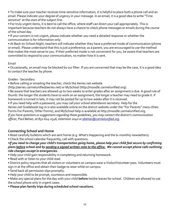• To make sure your teacher receives time-sensitive information, it is helpful to place both a phone call and an email. Please indicate your degree of urgency in your message. In an email, it is a good idea to write "Time sensitive" at the start of the subject line.

• For truly urgent items, it is best to call the office, where staff can direct your call appropriately. This is important because teachers do not always have a chance to check phone messages or emails during the course of the school day.

• If your concern is not urgent, please indicate whether you need a detailed response or whether the communication is for information only.

• At Back-to-School Night, teachers will indicate whether they have a preferred mode of communication (phone or email). Please understand that this is just a preference; as a parent, you are encouraged to use the method that makes the most sense to you. If their preferred mode is not convenient for you, be aware that teachers are committed to respond to your communication, no matter how it is sent.

#### Email

• Occasionally, an email may be blocked by our filter. If you are concerned that may be the case, it is a good idea to contact the teacher by phone.

#### Grades - Secondary

• Before calling or emailing the teacher, check the Aeries.net website

(http://aeries.carmelunified/aeries.net) or MySchool (http://moodle.carmelunified.org).

• Be aware that teachers are allowed up to two weeks to enter grades after an assignment is due. A good rule of thumb: the longer the students have to work on an assignment, the longer a teacher may need to grade it. If homework is turned in late, it may not be posted for up to two weeks after it is received.

• If you need help with a password, you may call your school attendance secretary. Help for the Aeries.net Gradebook log-in is also available online on the district website under the "For Parents" menu (then Forms For Parents, Other Forms), and MySchool help is available at http://moodle.carmelunified.org. *If you have questions or suggestions regarding these guidelines, you may contact the district's communication officer, Paul Behan, at 831-624-1546, extension 2040 or [pbehan@carmelunified.org](mailto:pbehan@carmelunified.org).*

## **Connecting School and Home**

• Read carefully bulletins which are sent home (e.g. What's Happening and the bi-monthly newsletters)

• Check the school calendar frequently; call with questions.

•*If you need to change your child's transportation going home, please help your child feel secure by confirming plans before school and by sending a signed written note to the office. We cannot accept phone calls outlining ride changes except in emergencies.*

• Help your child gain responsibility in completing and returning homework.

• Read with or listen to your child read.

• District policy requires that all visitors or volunteers on campus wear a Visitor/Volunteer pass. Volunteers must sign in at the office and obtain their badge to wear while on campus.

- Send back all permission slips promptly.
- Help your child to be prompt, courteous and responsible.

• Make any special plans for the day with your child **before** he/she leaves for school. Children are allowed to use the school phone only in urgent cases.

#### • **Please plan family trips during scheduled school vacations.**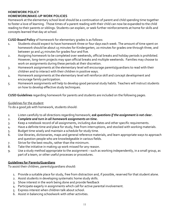#### **HOMEWORK POLICY HOMEWORK/MAKE-UP WORK POLICIES**

Homework at the elementary school level should be a continuation of parent and child spending time together to foster a love of learning. Those times of a parent reading with their child can now be expanded to the child reading to their parents or siblings. Students can explain, or seek further reinforcements at home for skills and concepts learned that day at school.

**CUSD Board Policy** of homework for elementary grades is as follows:

- 1. Students should expect to have homework three or four days each week. The amount of time spent on homework should be about 15 minutes for Kindergarten, 20 minutes for grades one through three, and between 30 and 45 minutes for grades four and five.
- 2. Assigning homework to be completed over weekends, official breaks and holiday periods is prohibited. However, long-term projects may span official breaks and multiple weekends. Families may choose to work on assignments during these periods at their discretion.
- 3. Homework assignments at the elementary level will encourage parents/guardians to read with their children and to interact with their children in positive ways.
- 4. Homework assignments at the elementary level will reinforce skill and concept development and encourage family participation.
- 5. Homework assignments will help to develop good personal study habits. Teachers will instruct students on how to develop effective study techniques.

**CUSD Guidelines** regarding homework for parents and students are included on the following pages.

#### Guidelines for the student

To do a good job with homework, students should:

- *1.* Listen carefully to all directions regarding homework; *ask questions if the assignment is not clear.*
- 2. *Complete and turn in all homework assignments on time.*
- 3. Keep a notebook record of all assignments, including due dates and other specific requirements.
- 4. Have a definite time and place for study, free from interruptions, and stocked with working materials.
- 5. Budget time wisely and maintain a schedule for study time.
- 6. Use libraries, dictionaries, maps and general reference materials, and learn appropriate ways to approach and question people who are knowledgeable in various fields.
- 7. Strive for the best results, rather than the minimum.
- 8. Take the initiative in making up work missed for any reason.
- 9. Use a study method appropriate to the assignment such as working independently, in a small group, as part of a team, or other useful processes or procedures.

#### **Guidelines for Parents/Guardians**

To assist their children, parents/guardians should:

- 1. Provide a suitable place for study, free from distraction and, if possible, reserved for that student alone.
- 2. Assist students in developing systematic home study skills.
- 3. Show interest in the work being done and provide feedback
- 4. Participate eagerly in assignments which call for active parental involvement.
- 5. Express interest when children talk about school.
- 6. Assist in balancing schoolwork with other activities.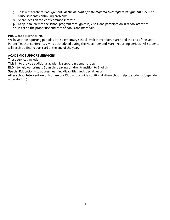- 7. Talk with teachers if assignments *or the amount of time required to complete assignments* seem to cause students continuing problems.
- 8. Share ideas on topics of common interest.
- 9. Keep in touch with the school program through calls, visits, and participation in school activities.
- 10. Insist on the proper use and care of books and materials.

#### **PROGRESS REPORTING**

We have three reporting periods at the elementary school level: November, March and the end of the year. Parent-Teacher conferences will be scheduled during the November and March reporting periods. All students will receive a final report card at the end of the year.

#### **ACADEMIC SUPPORT SERVICES**

These services include:

**Title I** – to provide additional academic support in a small group

**ELD** – to help our primary Spanish speaking children transition to English

**Special Education** – to address learning disabilities and special needs

**After school Intervention or Homework Club** – to provide additional after-school help to students (dependent upon staffing)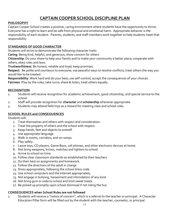# **CAPTAIN COOPER SCHOOL DISCIPLINE PLAN**

#### **PHILOSOPHY**

Captain Cooper School creates a positive, caring environment where students have the opportunity to thrive. Everyone has a right to learn and be safe from physical and emotional harm. Appropriate behavior is the responsibility of each student. Parents, students, and staff members work together to help students meet that responsibility.

#### **STANDARDS OF GOOD CHARACTER**

Students will strive to demonstrate the following character traits:

**Caring**: Being kind, helpful, and generous; show concern for others

**Citizenship**: Do your share to help your family and to make your community a better place; cooperate with others; obey rules and laws.

**Trustworthiness**: Be honest, reliable and loyal; keep promises.

**Respect**: Be polite and courteous to everyone; use peaceful ways to resolve conflicts; treat others the way you would like to be treated.

**Responsibility**: Work hard and do your best; use self-control; accept the consequences of your choices. **Fairness**: Play by the rules; take turns; share & listen; treat others equally.

#### **RECOGNITION**

- 1. Students will receive recognition for academic achievement, good citizenship, and special service to the school.
- 2. Staff will provide recognition for **character** and **scholarship** whenever appropriate.
- 3. Students may attend field trips as a reward for meeting class and school rules.

#### **SCHOOL RULES and CONSEQUENCES**

Students will:

- 1. Treat themselves and others with respect and consideration.
- 2. Treat the property of others and the school with respect.
- 3. Keep hands, feet and objects to oneself.
- 4. Use appropriate language.
- 5. Walk in rooms, corridors, and on ramps.
- 6. Play safely.
- 7. Leave toys, CD players, Game Boys, cell phones, and other electronic devices at home.
- 8. Not bring weapons, knives, matches and lighters to school.
- 9. Arrive to school on time.
- 10. Follow clear classroom standards as established by their teachers
- 11. Do their best on assignments and homework.
- 12. Follow the directions of the adult in charge.
- 13. Dress appropriately, following the school dress code.
- 14. Use school computers and the Internet appropriately.
- 15. Not engage in bullying, harassment and intimidation of any kind.
- 16. Not bring gum or soda to school and limit sweet treats.
- 17. Be picked up promptly upon school dismissal if not riding the bus.

#### **CONSEQUENCES when School Rules are not followed**

1. Students will receive a "notice of concern", which is a referral to the teacher or principal.A Character Education Pillar form will be filled out by the student with the teacher, counselor, or principal.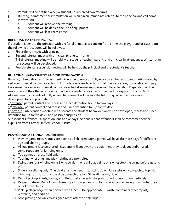- 2. Parents will be notified when a student has received two referrals.
- 3. Bullying, harassment or intimidation will result in an immediate referral to the principal and call home.
- 4. Playground:
	- a. Student will receive one warning.
	- b. Student will be denied the use of equipment.
	- c. Student will lose recess time.

## **REFERRAL TO THE PRINCIPAL**

If a student is sent to the principal with a referral or notice of concern from either the playground or classroom, the following procedures will be followed.

- 1. First referral: meet with principal
- 2. Second referral: meet with principal; phone call home.
- 3. Third referral: meeting will be held with student, teacher, parent, and principal in attendance. Written plan for success will be developed.
- 4. Fourth referral: suspension review will be held by the principal and the student's teacher.

## **BULLYING, HARASSMENT AND/OR INTIMIDATION**

Bullying, intimidation, and harassment will not be tolerated. Bullying occurs when a student is intimidated by verbal or physical conduct or actions. Intimidation refers to actions that may cause fear, humiliation or injury. Harassment is verbal or physical conduct directed at someone's personal characteristics. Depending on the seriousness of the offense, students may be suspended and/or recommended for expulsion from school. At a minimum, incidents of bullying and harassment will receive the following consequences as are developmentally appropriate.

1st offense: parent contact and recess and lunch detention for up to two days.

<u>2<sup>nd</sup> offense:</u> parent contact and recess and lunch detention for up to five days.

3<sup>rd</sup> offense: intervention meeting with parents and student behavior plan will be developed, recess and lunch detention for up to five days, and possible suspension.

Subsequent Offenses: suspension, one to five days. Serious repeat offenders shall be recommended for expulsion from Carmel Unified School District.

## **PLAYGROUND STANDARDS (Recess)**

- 1. Play by game rules. Games are open to all children. Some games will have alternate days for different age and ability groups.
- 2. All equipment is to be shared. Students will put away the equipment they took out and/or used.
- 3. Jump ropes are for jumping only.
- 4. Tag games on grass field only.
- 5. Tackling, wrestling, and play fighting are prohibited.
- 6. Swings are for swinging only: Swing straight; one child at a time on swing; stop the swing before getting off.
- 7. Slide is for sliding only: One child at a time, feet first, sitting down; Use stairs only to reach to top; No climbing from bottom of the slide to reach the top; Slide all the way down.
- 8. Do not pick up lizards, newts, etc. Report all snakes to the playground supervisor immediately.
- 9. Respect nature. Do not climb trees or pick flowers and shrubs. Do not hang or swing from limbs. Stay out of flower beds.
- 10. Pick up all garbage when finished with lunch. Use appropriate waste containers for compost, recycling, and garbage.
- 11. Stop playing and walk to assigned areas after the bell rings.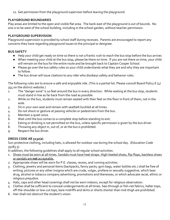12. Get permission from the playground supervisor before leaving the playground.

### **PLAYGROUND BOUNDARIES**

Play areas are limited to the open and visible flat area. The bank east of the playground is out of bounds. No one is to be west of the school building, including in the school garden, without teacher permission.

#### **PLAYGROUND SUPERVISION**

Playground supervision is provided by school staff during recesses. Parents are encouraged to report any concerns they have regarding playground issues to the principal or designee.

#### **BUS SAFETY**

- Help your child get ready on time so there is not a frantic rush to reach the bus stop before the bus arrives
- When meeting your child at the bus stop, please be there on time. If you are not there on time, your child will remain on the bus for the entire route and be brought back to Captain Cooper School.
- Please go over the bus safety rules so your child understands what they are and why they are important to follow.
- The bus driver will issue citations to any rider who disobeys safety and behavior rules.

The following rules are to ensure a safe and enjoyable ride. (This is a partial list. Please consult Board Policy E (4) 354 on the district website.)

- 1. The "danger zone" is 10 feet around the bus in every direction. While waiting at the bus stop, students must stand in line as far back from the road as possible.
- 2. While on the bus, students must remain seated with their feet on the floor in front of them, not in the aisle.
- 3. Sit in your own seat and remain with seatbelt buckled at all times.
- 4. Do not shout or gesture at passing vehicles or pedestrians from the bus.
- 5. Maintain a quiet voice.
- 6. Wait until the bus comes to a complete stop before standing to exit.
- 7. Eating or drinking is not permitted on the bus, unless specific permission is given by the bus driver.
- 8. Throwing any object in, out of, or at the bus is prohibited.
- 9. Respect the bus driver.

## **DRESS CODE AR 5132(a)**

Sun-protective clothing, including hats, is allowed for outdoor use during the school day. (Education Code 35183.5)

In addition, the following guidelines shall apply to all regular school activities:

- 1. Shoes must be worn at all times. Sandals must have heel straps. High-heeled shoes, flip-flops, backless shoes or sandals are **not** acceptable.
- 2. Appropriate shoes will be worn for P.E. classes, recess, and running activities.
- 3. Clothing, jewelry and personal items (backpacks, fanny packs, gym bags, water bottles etc.) shall be free of writing, pictures or any other insignia which are crude, vulgar, profane or sexually suggestive, which bear drug, alcohol or tobacco company advertising, promotions and likenesses, or which advocate racial, ethnic or religious prejudice.
- 4. Hats, caps and other head coverings shall not be worn indoors, except for religious observation.
- 5. Clothes shall be sufficient to conceal undergarments at all times. See-through or fish-net fabrics, halter tops, off-the-shoulder or low-cut tops, bare midriffs and skirts or shorts shorter than mid-thigh are prohibited.
- 6. Hair shall not obstruct the student's vision.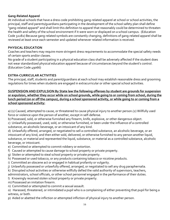#### **Gang-Related Apparel**

At individual schools that have a dress code prohibiting gang-related apparel at school or school activities, the principal, staff and parents/guardians participating in the development of the school safety plan shall define "gang-related apparel" and shall limit this definition to apparel that reasonably could be determined to threaten the health and safety of the school environment if it were worn or displayed on a school campus. (Education Code 32282) Because gang-related symbols are constantly changing, definitions of gang-related apparel shall be reviewed at least once each semester and updated whenever related information is received.

#### **PHYSICAL EDUCATION**

Coaches and teachers may require more stringent dress requirements to accommodate the special safety needs of certain sports and/or classes.

No grade of a student participating in a physical education class shall be adversely affected if the student does not wear standardized physical education apparel because of circumstances beyond the student's control. (Education Code 49066)

#### **EXTRA-CURRICULAR ACTIVITIES**

The principal, staff, students and parent/guardians at each school may establish reasonable dress and grooming regulations for times when students are engaged in extracurricular or other special school activities.

**SUSPENSION AND EXPULSION By State law the following offenses by student are grounds for suspension or expulsion, whether they occur while on school grounds, while going to or coming from school, during the lunch period (on or off the campus), during a school sponsored activity, or while going to or coming from a school sponsored activity:**

a) (1) Caused, attempted to cause, or threatened to cause physical injury to another person.(2) Willfully used force or violence upon the person of another, except in self-defense.

b) Possessed, sold, or otherwise furnished any firearm, knife, explosive, or other dangerous object.

c) Unlawfully possessed, used, sold, or otherwise furnished, or been under the influence of a controlled substance, an alcoholic beverage, or an intoxicant of any kind.

d) Unlawfully offered, arranged, or negotiated to sell a controlled substance, an alcoholic beverage, or an intoxicant of any kind, and then either sold, delivered, or otherwise furnished to any person another liquid, substance, or material and represented the liquid, substance, or material as a controlled substance, alcoholic beverage, or intoxicant.

- e) Committed or attempted to commit robbery or extortion.
- f) Caused or attempted to cause damage to school property or private property.
- g) Stolen or attempted to steal school property or private property.
- h) Possessed or used tobacco, or any products containing tobacco or nicotine products.
- i) Committed an obscene act or engaged in habitual profanity or vulgarity.
- j) Unlawfully possessed or unlawfully offered, arranged, or negotiated to sell any drug paraphernalia.
- k) Disrupted school activities or otherwise willfully defied the valid authority of supervisors, teachers, administrators, school officials, or other school personnel engaged in the performance of their duties.
- l) Knowingly received stolen school property or private property.
- m) Possessed an imitation firearm.
- n) Committed or attempted to commit a sexual assault.

o) Harassed, threatened, or intimidated a pupil who is a complaining of either preventing that pupil for being a witness, or both.

p) Aided or abetted the infliction or attempted infliction of physical injury to another person.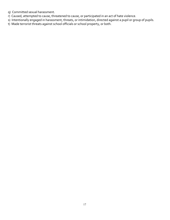- q) Committed sexual harassment.
- r) Caused, attempted to cause, threatened to cause, or participated in an act of hate violence.
- s) Intentionally engaged in harassment, threats, or intimidation, directed against a pupil or group of pupils.
- t) Made terrorist threats against school officials or school property, or both.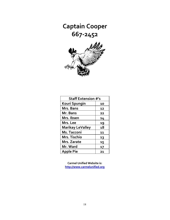**Captain Cooper 667-2452**



| <b>Staff Extension #'s</b> |    |
|----------------------------|----|
| Kouri Spungin              | 10 |
| Mrs. Bans                  | 12 |
| Mr. Bans                   | 22 |
| Mrs. Ibsen                 | 14 |
| Mrs. Lee                   | 19 |
| <b>Marikay LeValley</b>    | 18 |
| Ms. Tacconi                | 11 |
| Mrs. Tischio               | 13 |
| Mrs. Zarate                | 15 |
| Mr. Ward                   | 17 |
| <b>Apple Pie</b>           | 21 |

**Carmel Unified Website is: [http://www.carmelunified.org](http://www.carmelunified.org/)**